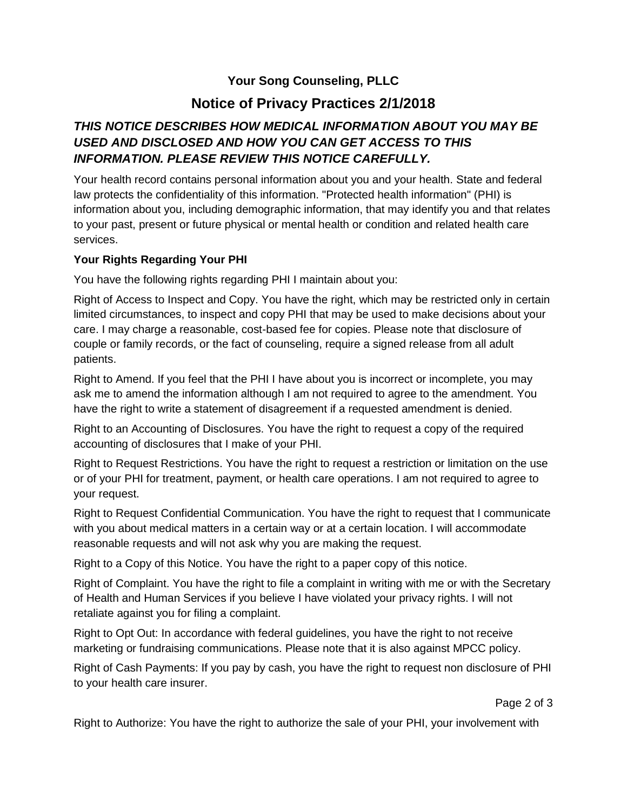## **Your Song Counseling, PLLC**

# **Notice of Privacy Practices 2/1/2018**

## *THIS NOTICE DESCRIBES HOW MEDICAL INFORMATION ABOUT YOU MAY BE USED AND DISCLOSED AND HOW YOU CAN GET ACCESS TO THIS INFORMATION. PLEASE REVIEW THIS NOTICE CAREFULLY.*

Your health record contains personal information about you and your health. State and federal law protects the confidentiality of this information. "Protected health information" (PHI) is information about you, including demographic information, that may identify you and that relates to your past, present or future physical or mental health or condition and related health care services.

#### **Your Rights Regarding Your PHI**

You have the following rights regarding PHI I maintain about you:

Right of Access to Inspect and Copy. You have the right, which may be restricted only in certain limited circumstances, to inspect and copy PHI that may be used to make decisions about your care. I may charge a reasonable, cost-based fee for copies. Please note that disclosure of couple or family records, or the fact of counseling, require a signed release from all adult patients.

Right to Amend. If you feel that the PHI I have about you is incorrect or incomplete, you may ask me to amend the information although I am not required to agree to the amendment. You have the right to write a statement of disagreement if a requested amendment is denied.

Right to an Accounting of Disclosures. You have the right to request a copy of the required accounting of disclosures that I make of your PHI.

Right to Request Restrictions. You have the right to request a restriction or limitation on the use or of your PHI for treatment, payment, or health care operations. I am not required to agree to your request.

Right to Request Confidential Communication. You have the right to request that I communicate with you about medical matters in a certain way or at a certain location. I will accommodate reasonable requests and will not ask why you are making the request.

Right to a Copy of this Notice. You have the right to a paper copy of this notice.

Right of Complaint. You have the right to file a complaint in writing with me or with the Secretary of Health and Human Services if you believe I have violated your privacy rights. I will not retaliate against you for filing a complaint.

Right to Opt Out: In accordance with federal guidelines, you have the right to not receive marketing or fundraising communications. Please note that it is also against MPCC policy.

Right of Cash Payments: If you pay by cash, you have the right to request non disclosure of PHI to your health care insurer.

Page 2 of 3

Right to Authorize: You have the right to authorize the sale of your PHI, your involvement with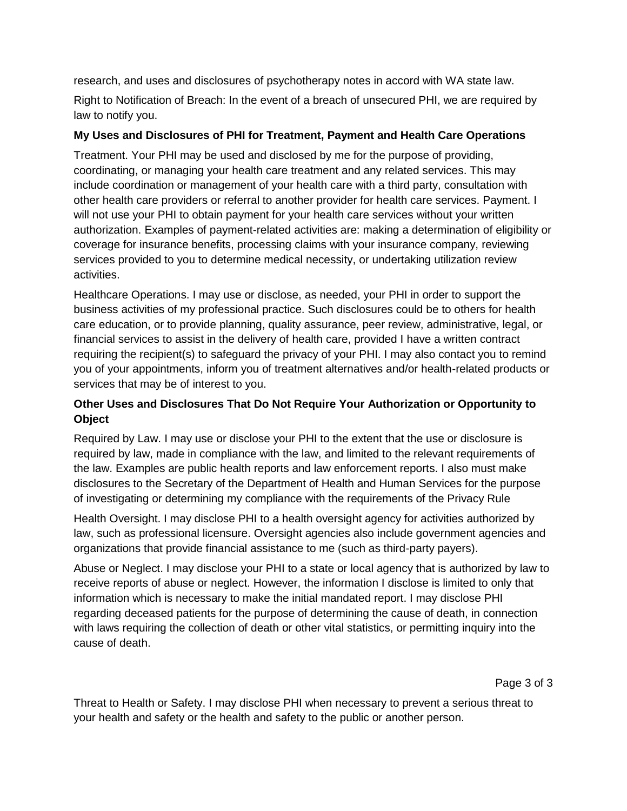research, and uses and disclosures of psychotherapy notes in accord with WA state law.

Right to Notification of Breach: In the event of a breach of unsecured PHI, we are required by law to notify you.

#### **My Uses and Disclosures of PHI for Treatment, Payment and Health Care Operations**

Treatment. Your PHI may be used and disclosed by me for the purpose of providing, coordinating, or managing your health care treatment and any related services. This may include coordination or management of your health care with a third party, consultation with other health care providers or referral to another provider for health care services. Payment. I will not use your PHI to obtain payment for your health care services without your written authorization. Examples of payment-related activities are: making a determination of eligibility or coverage for insurance benefits, processing claims with your insurance company, reviewing services provided to you to determine medical necessity, or undertaking utilization review activities.

Healthcare Operations. I may use or disclose, as needed, your PHI in order to support the business activities of my professional practice. Such disclosures could be to others for health care education, or to provide planning, quality assurance, peer review, administrative, legal, or financial services to assist in the delivery of health care, provided I have a written contract requiring the recipient(s) to safeguard the privacy of your PHI. I may also contact you to remind you of your appointments, inform you of treatment alternatives and/or health-related products or services that may be of interest to you.

## **Other Uses and Disclosures That Do Not Require Your Authorization or Opportunity to Object**

Required by Law. I may use or disclose your PHI to the extent that the use or disclosure is required by law, made in compliance with the law, and limited to the relevant requirements of the law. Examples are public health reports and law enforcement reports. I also must make disclosures to the Secretary of the Department of Health and Human Services for the purpose of investigating or determining my compliance with the requirements of the Privacy Rule

Health Oversight. I may disclose PHI to a health oversight agency for activities authorized by law, such as professional licensure. Oversight agencies also include government agencies and organizations that provide financial assistance to me (such as third-party payers).

Abuse or Neglect. I may disclose your PHI to a state or local agency that is authorized by law to receive reports of abuse or neglect. However, the information I disclose is limited to only that information which is necessary to make the initial mandated report. I may disclose PHI regarding deceased patients for the purpose of determining the cause of death, in connection with laws requiring the collection of death or other vital statistics, or permitting inquiry into the cause of death.

Page 3 of 3

Threat to Health or Safety. I may disclose PHI when necessary to prevent a serious threat to your health and safety or the health and safety to the public or another person.